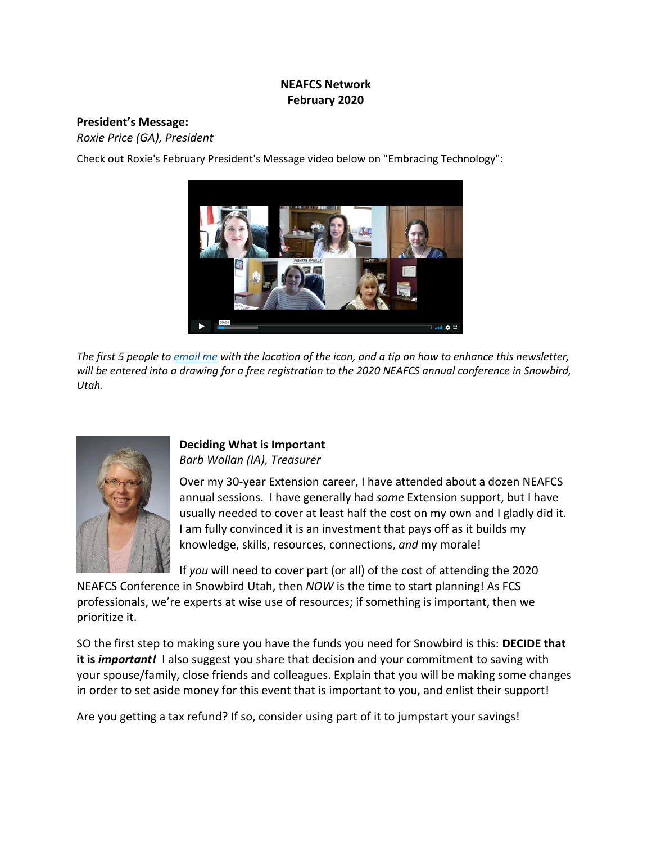## **NEAFCS Network February 2020**

#### **President's Message:**

*Roxie Price (GA), President*

Check out Roxie's February President's Message video below on "Embracing Technology":



The first 5 people to *[email](mailto:roxieb@uga.edu?subject=Snowbird%20Contest%20January%202020) me* with the location of the icon, and a tip on how to enhance this newsletter, will be entered into a drawing for a free registration to the 2020 NEAFCS annual conference in Snowbird, *Utah.*



#### **Deciding What is Important**  *Barb Wollan (IA), Treasurer*

Over my 30-year Extension career, I have attended about a dozen NEAFCS annual sessions. I have generally had *some* Extension support, but I have usually needed to cover at least half the cost on my own and I gladly did it. I am fully convinced it is an investment that pays off as it builds my knowledge, skills, resources, connections, *and* my morale!

If *you* will need to cover part (or all) of the cost of attending the 2020

NEAFCS Conference in Snowbird Utah, then *NOW* is the time to start planning! As FCS professionals, we're experts at wise use of resources; if something is important, then we prioritize it.

SO the first step to making sure you have the funds you need for Snowbird is this: **DECIDE that it is** *important!* I also suggest you share that decision and your commitment to saving with your spouse/family, close friends and colleagues. Explain that you will be making some changes in order to set aside money for this event that is important to you, and enlist their support!

Are you getting a tax refund? If so, consider using part of it to jumpstart your savings!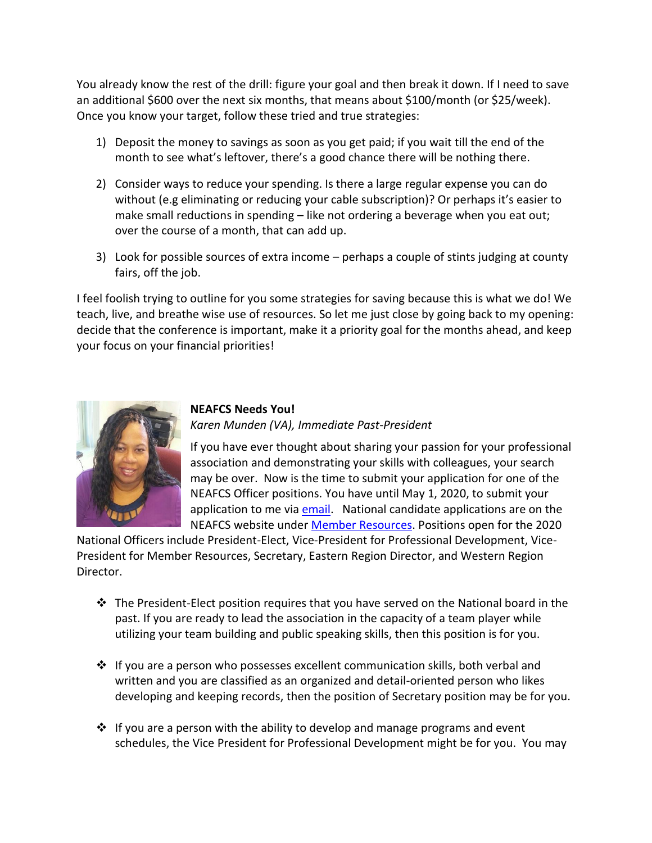You already know the rest of the drill: figure your goal and then break it down. If I need to save an additional \$600 over the next six months, that means about \$100/month (or \$25/week). Once you know your target, follow these tried and true strategies:

- 1) Deposit the money to savings as soon as you get paid; if you wait till the end of the month to see what's leftover, there's a good chance there will be nothing there.
- 2) Consider ways to reduce your spending. Is there a large regular expense you can do without (e.g eliminating or reducing your cable subscription)? Or perhaps it's easier to make small reductions in spending – like not ordering a beverage when you eat out; over the course of a month, that can add up.
- 3) Look for possible sources of extra income perhaps a couple of stints judging at county fairs, off the job.

I feel foolish trying to outline for you some strategies for saving because this is what we do! We teach, live, and breathe wise use of resources. So let me just close by going back to my opening: decide that the conference is important, make it a priority goal for the months ahead, and keep your focus on your financial priorities!



## **NEAFCS Needs You!** *Karen Munden (VA), Immediate Past-President*

If you have ever thought about sharing your passion for your professional association and demonstrating your skills with colleagues, your search may be over. Now is the time to submit your application for one of the NEAFCS Officer positions. You have until May 1, 2020, to submit your application to me via [email.](mailto:kmunden@vt.edu?subject=NEAFCS%20Officer%20Application) National candidate applications are on the NEAFCS website under [Member Resources.](https://neafcs.memberclicks.net/affiliate-forms-templates) Positions open for the 2020

National Officers include President-Elect, Vice-President for Professional Development, Vice-President for Member Resources, Secretary, Eastern Region Director, and Western Region Director.

- $\cdot \cdot$  The President-Elect position requires that you have served on the National board in the past. If you are ready to lead the association in the capacity of a team player while utilizing your team building and public speaking skills, then this position is for you.
- $\cdot \cdot$  If you are a person who possesses excellent communication skills, both verbal and written and you are classified as an organized and detail-oriented person who likes developing and keeping records, then the position of Secretary position may be for you.
- $\cdot \cdot$  If you are a person with the ability to develop and manage programs and event schedules, the Vice President for Professional Development might be for you. You may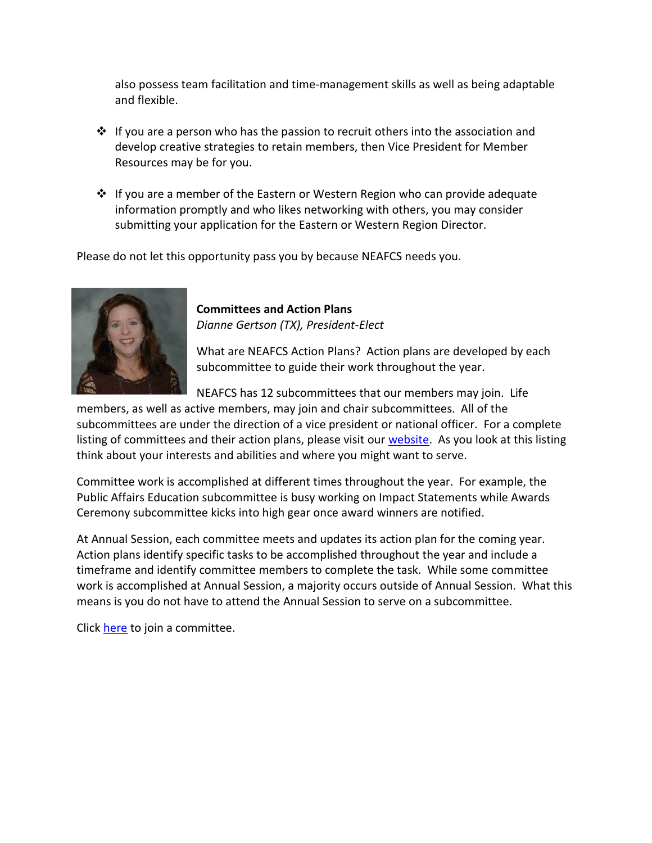also possess team facilitation and time-management skills as well as being adaptable and flexible.

- $\cdot \cdot$  If you are a person who has the passion to recruit others into the association and develop creative strategies to retain members, then Vice President for Member Resources may be for you.
- $\cdot \cdot$  If you are a member of the Eastern or Western Region who can provide adequate information promptly and who likes networking with others, you may consider submitting your application for the Eastern or Western Region Director.

Please do not let this opportunity pass you by because NEAFCS needs you.



**Committees and Action Plans** *Dianne Gertson (TX), President-Elect*

What are NEAFCS Action Plans? Action plans are developed by each subcommittee to guide their work throughout the year.

NEAFCS has 12 subcommittees that our members may join. Life

members, as well as active members, may join and chair subcommittees. All of the subcommittees are under the direction of a vice president or national officer. For a complete listing of committees and their action plans, please visit ou[r website.](https://neafcs.memberclicks.net/committee-list) As you look at this listing think about your interests and abilities and where you might want to serve.

Committee work is accomplished at different times throughout the year. For example, the Public Affairs Education subcommittee is busy working on Impact Statements while Awards Ceremony subcommittee kicks into high gear once award winners are notified.

At Annual Session, each committee meets and updates its action plan for the coming year. Action plans identify specific tasks to be accomplished throughout the year and include a timeframe and identify committee members to complete the task. While some committee work is accomplished at Annual Session, a majority occurs outside of Annual Session. What this means is you do not have to attend the Annual Session to serve on a subcommittee.

Click [here](https://neafcs.memberclicks.net/index.php?option=com_mc&view=mc&mcid=form_131280) to join a committee.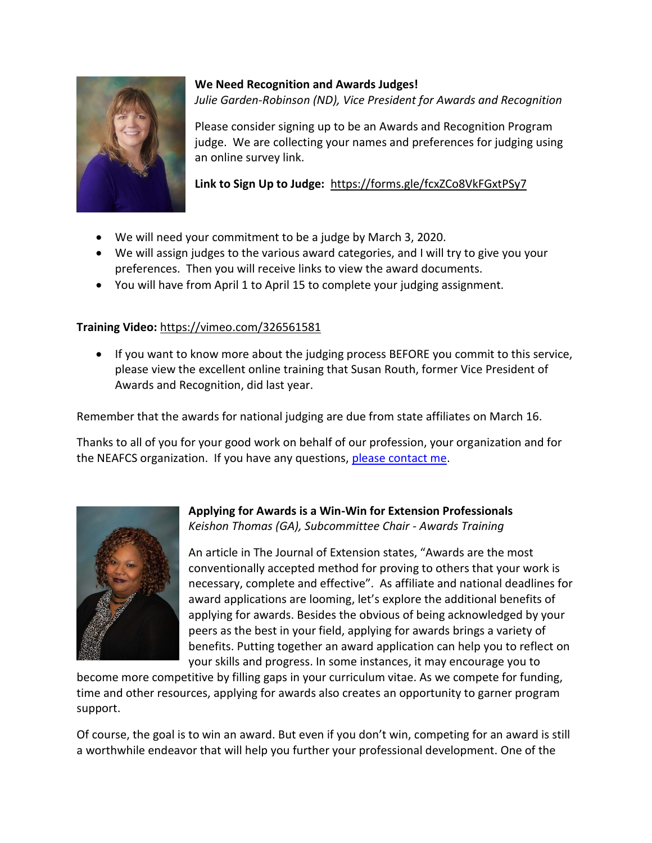

# **We Need Recognition and Awards Judges!** *Julie Garden-Robinson (ND), Vice President for Awards and Recognition*

Please consider signing up to be an Awards and Recognition Program judge. We are collecting your names and preferences for judging using an online survey link.

# **Link to Sign Up to Judge:** <https://forms.gle/fcxZCo8VkFGxtPSy7>

- We will need your commitment to be a judge by March 3, 2020.
- We will assign judges to the various award categories, and I will try to give you your preferences. Then you will receive links to view the award documents.
- You will have from April 1 to April 15 to complete your judging assignment.

# **Training Video:** <https://vimeo.com/326561581>

• If you want to know more about the judging process BEFORE you commit to this service, please view the excellent online training that Susan Routh, former Vice President of Awards and Recognition, did last year.

Remember that the awards for national judging are due from state affiliates on March 16.

Thanks to all of you for your good work on behalf of our profession, your organization and for the NEAFCS organization. If you have any questions, [please contact me.](mailto:julie.gardenrobinson@ndsu.edu)



## **Applying for Awards is a Win-Win for Extension Professionals**  *Keishon Thomas (GA), Subcommittee Chair - Awards Training*

An article in The Journal of Extension states, "Awards are the most conventionally accepted method for proving to others that your work is necessary, complete and effective". As affiliate and national deadlines for award applications are looming, let's explore the additional benefits of applying for awards. Besides the obvious of being acknowledged by your peers as the best in your field, applying for awards brings a variety of benefits. Putting together an award application can help you to reflect on your skills and progress. In some instances, it may encourage you to

become more competitive by filling gaps in your curriculum vitae. As we compete for funding, time and other resources, applying for awards also creates an opportunity to garner program support.

Of course, the goal is to win an award. But even if you don't win, competing for an award is still a worthwhile endeavor that will help you further your professional development. One of the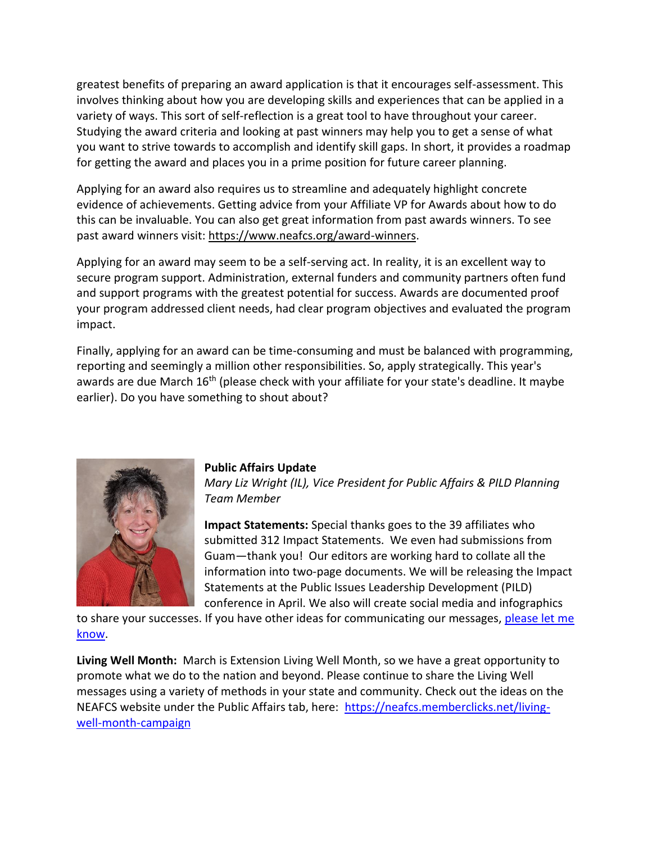greatest benefits of preparing an award application is that it encourages self-assessment. This involves thinking about how you are developing skills and experiences that can be applied in a variety of ways. This sort of self-reflection is a great tool to have throughout your career. Studying the award criteria and looking at past winners may help you to get a sense of what you want to strive towards to accomplish and identify skill gaps. In short, it provides a roadmap for getting the award and places you in a prime position for future career planning.

Applying for an award also requires us to streamline and adequately highlight concrete evidence of achievements. Getting advice from your Affiliate VP for Awards about how to do this can be invaluable. You can also get great information from past awards winners. To see past award winners visit: [https://www.neafcs.org/award-winners.](https://www.neafcs.org/award-winners)

Applying for an award may seem to be a self-serving act. In reality, it is an excellent way to secure program support. Administration, external funders and community partners often fund and support programs with the greatest potential for success. Awards are documented proof your program addressed client needs, had clear program objectives and evaluated the program impact.

Finally, applying for an award can be time-consuming and must be balanced with programming, reporting and seemingly a million other responsibilities. So, apply strategically. This year's awards are due March 16<sup>th</sup> (please check with your affiliate for your state's deadline. It maybe earlier). Do you have something to shout about?



#### **Public Affairs Update**

*Mary Liz Wright (IL), Vice President for Public Affairs & PILD Planning Team Member* 

**Impact Statements:** Special thanks goes to the 39 affiliates who submitted 312 Impact Statements. We even had submissions from Guam—thank you! Our editors are working hard to collate all the information into two-page documents. We will be releasing the Impact Statements at the Public Issues Leadership Development (PILD) conference in April. We also will create social media and infographics

to share your successes. If you have other ideas for communicating our messages, please let me [know.](mailto:maryliz@illinois.edu?subject=Impact%20Statements)

**Living Well Month:** March is Extension Living Well Month, so we have a great opportunity to promote what we do to the nation and beyond. Please continue to share the Living Well messages using a variety of methods in your state and community. Check out the ideas on the NEAFCS website under the Public Affairs tab, here: [https://neafcs.memberclicks.net/living](https://neafcs.memberclicks.net/living-well-month-campaign)[well-month-campaign](https://neafcs.memberclicks.net/living-well-month-campaign)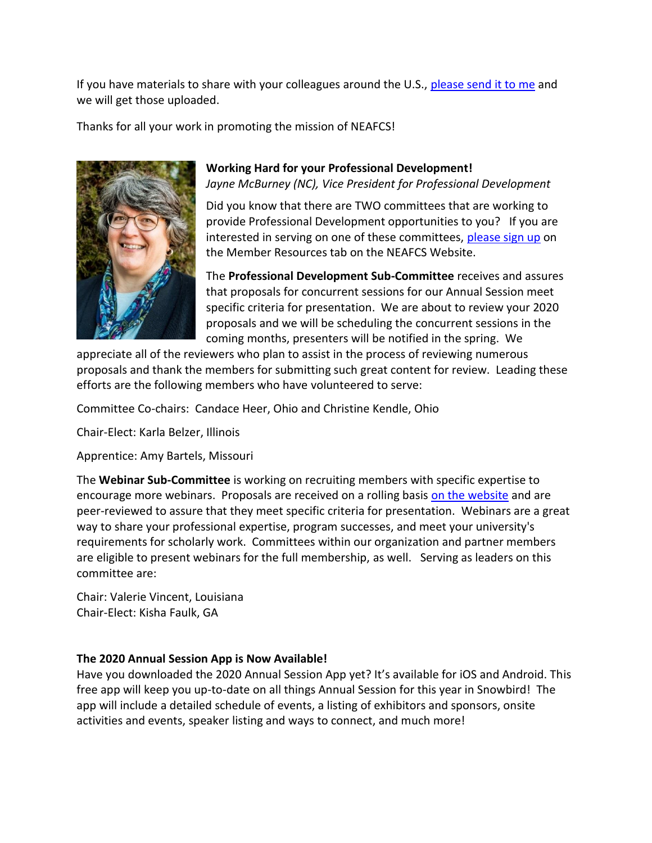If you have materials to share with your colleagues around the U.S., [please send it to me](mailto:maryliz@illinois.edu?subject=Living%20Well%20Month%20Materials%20to%20Share) and we will get those uploaded.

Thanks for all your work in promoting the mission of NEAFCS!



**Working Hard for your Professional Development!** *Jayne McBurney (NC), Vice President for Professional Development*

Did you know that there are TWO committees that are working to provide Professional Development opportunities to you? If you are interested in serving on one of these committees, [please sign up](https://neafcs.memberclicks.net/index.php?option=com_mc&view=mc&mcid=form_131280) on the Member Resources tab on the NEAFCS Website.

The **Professional Development Sub-Committee** receives and assures that proposals for concurrent sessions for our Annual Session meet specific criteria for presentation. We are about to review your 2020 proposals and we will be scheduling the concurrent sessions in the coming months, presenters will be notified in the spring. We

appreciate all of the reviewers who plan to assist in the process of reviewing numerous proposals and thank the members for submitting such great content for review. Leading these efforts are the following members who have volunteered to serve:

Committee Co-chairs: Candace Heer, Ohio and Christine Kendle, Ohio

Chair-Elect: Karla Belzer, Illinois

Apprentice: Amy Bartels, Missouri

The **Webinar Sub-Committee** is working on recruiting members with specific expertise to encourage more webinars. Proposals are received on a rolling basis [on the website](https://neafcs.memberclicks.net/index.php?option=com_mc&view=mc&mcid=form_206925) and are peer-reviewed to assure that they meet specific criteria for presentation. Webinars are a great way to share your professional expertise, program successes, and meet your university's requirements for scholarly work. Committees within our organization and partner members are eligible to present webinars for the full membership, as well. Serving as leaders on this committee are:

Chair: Valerie Vincent, Louisiana Chair-Elect: Kisha Faulk, GA

# **The 2020 Annual Session App is Now Available!**

Have you downloaded the 2020 Annual Session App yet? It's available for iOS and Android. This free app will keep you up-to-date on all things Annual Session for this year in Snowbird! The app will include a detailed schedule of events, a listing of exhibitors and sponsors, onsite activities and events, speaker listing and ways to connect, and much more!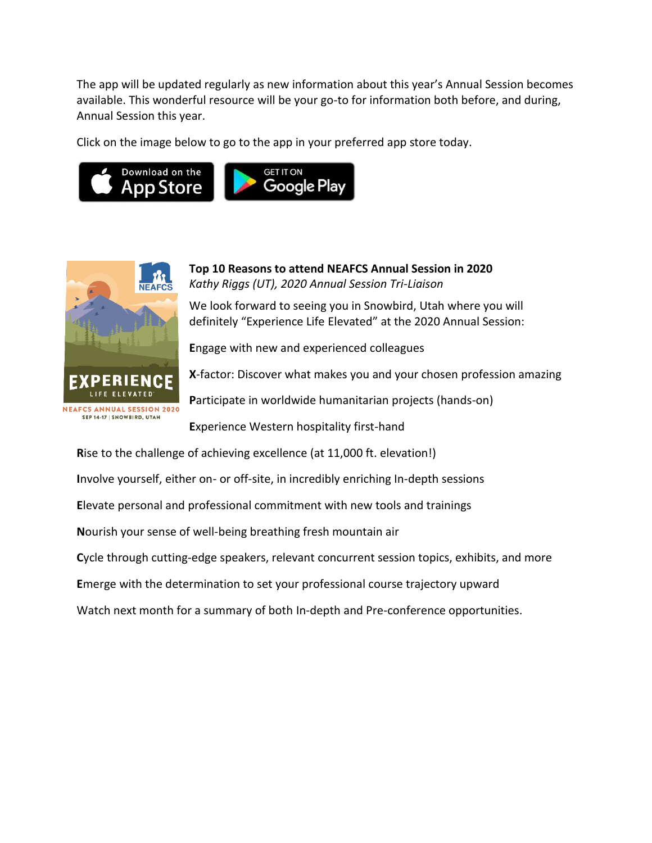The app will be updated regularly as new information about this year's Annual Session becomes available. This wonderful resource will be your go-to for information both before, and during, Annual Session this year.

Click on the image below to go to the app in your preferred app store today.





**Top 10 Reasons to attend NEAFCS Annual Session in 2020** *Kathy Riggs (UT), 2020 Annual Session Tri-Liaison* 

We look forward to seeing you in Snowbird, Utah where you will definitely "Experience Life Elevated" at the 2020 Annual Session:

**E**ngage with new and experienced colleagues

**X**-factor: Discover what makes you and your chosen profession amazing

**P**articipate in worldwide humanitarian projects (hands-on)

**E**xperience Western hospitality first-hand

**R**ise to the challenge of achieving excellence (at 11,000 ft. elevation!) **I**nvolve yourself, either on- or off-site, in incredibly enriching In-depth sessions **E**levate personal and professional commitment with new tools and trainings **N**ourish your sense of well-being breathing fresh mountain air **C**ycle through cutting-edge speakers, relevant concurrent session topics, exhibits, and more **E**merge with the determination to set your professional course trajectory upward Watch next month for a summary of both In-depth and Pre-conference opportunities.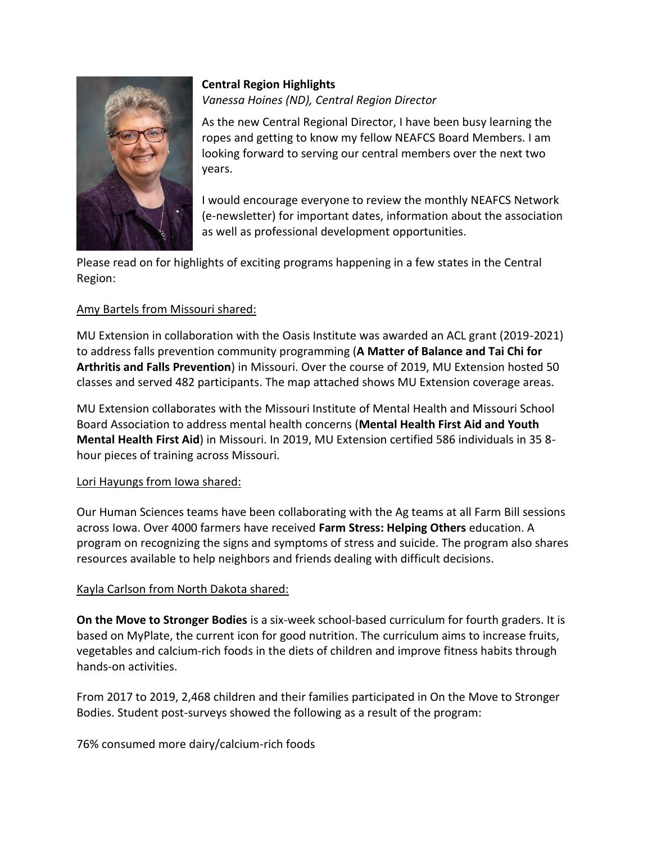

# **Central Region Highlights** *Vanessa Hoines (ND), Central Region Director*

As the new Central Regional Director, I have been busy learning the ropes and getting to know my fellow NEAFCS Board Members. I am looking forward to serving our central members over the next two years.

I would encourage everyone to review the monthly NEAFCS Network (e-newsletter) for important dates, information about the association as well as professional development opportunities.

Please read on for highlights of exciting programs happening in a few states in the Central Region:

# Amy Bartels from Missouri shared:

MU Extension in collaboration with the Oasis Institute was awarded an ACL grant (2019-2021) to address falls prevention community programming (**A Matter of Balance and Tai Chi for Arthritis and Falls Prevention**) in Missouri. Over the course of 2019, MU Extension hosted 50 classes and served 482 participants. The map attached shows MU Extension coverage areas.

MU Extension collaborates with the Missouri Institute of Mental Health and Missouri School Board Association to address mental health concerns (**Mental Health First Aid and Youth Mental Health First Aid**) in Missouri. In 2019, MU Extension certified 586 individuals in 35 8 hour pieces of training across Missouri.

# Lori Hayungs from Iowa shared:

Our Human Sciences teams have been collaborating with the Ag teams at all Farm Bill sessions across Iowa. Over 4000 farmers have received **Farm Stress: Helping Others** education. A program on recognizing the signs and symptoms of stress and suicide. The program also shares resources available to help neighbors and friends dealing with difficult decisions.

# Kayla Carlson from North Dakota shared:

**On the Move to Stronger Bodies** is a six-week school-based curriculum for fourth graders. It is based on MyPlate, the current icon for good nutrition. The curriculum aims to increase fruits, vegetables and calcium-rich foods in the diets of children and improve fitness habits through hands-on activities.

From 2017 to 2019, 2,468 children and their families participated in On the Move to Stronger Bodies. Student post-surveys showed the following as a result of the program:

76% consumed more dairy/calcium-rich foods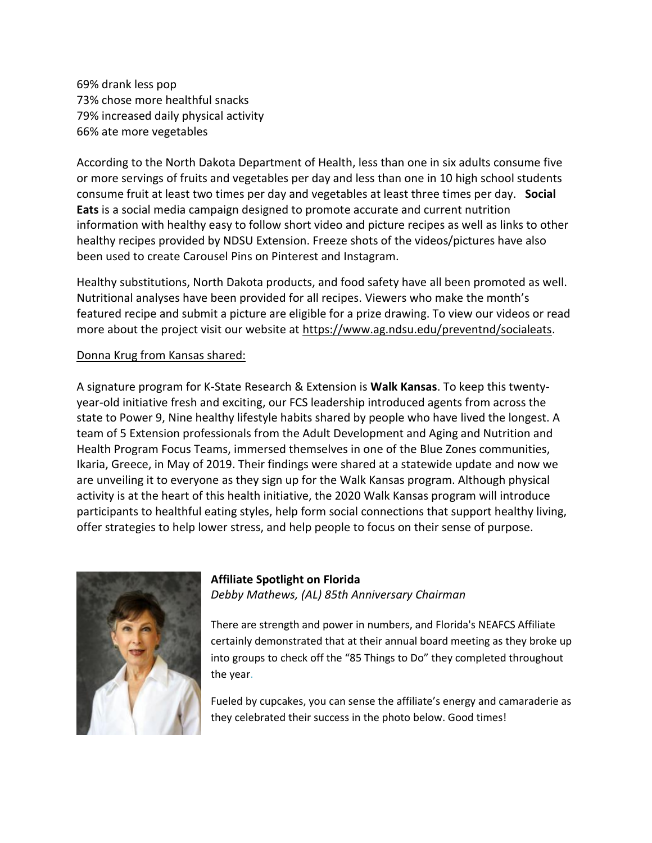69% drank less pop 73% chose more healthful snacks 79% increased daily physical activity 66% ate more vegetables

According to the North Dakota Department of Health, less than one in six adults consume five or more servings of fruits and vegetables per day and less than one in 10 high school students consume fruit at least two times per day and vegetables at least three times per day. **Social Eats** is a social media campaign designed to promote accurate and current nutrition information with healthy easy to follow short video and picture recipes as well as links to other healthy recipes provided by NDSU Extension. Freeze shots of the videos/pictures have also been used to create Carousel Pins on Pinterest and Instagram.

Healthy substitutions, North Dakota products, and food safety have all been promoted as well. Nutritional analyses have been provided for all recipes. Viewers who make the month's featured recipe and submit a picture are eligible for a prize drawing. To view our videos or read more about the project visit our website at [https://www.ag.ndsu.edu/preventnd/socialeats.](https://www.ag.ndsu.edu/preventnd/socialeats)

#### Donna Krug from Kansas shared:

A signature program for K-State Research & Extension is **Walk Kansas**. To keep this twentyyear-old initiative fresh and exciting, our FCS leadership introduced agents from across the state to Power 9, Nine healthy lifestyle habits shared by people who have lived the longest. A team of 5 Extension professionals from the Adult Development and Aging and Nutrition and Health Program Focus Teams, immersed themselves in one of the Blue Zones communities, Ikaria, Greece, in May of 2019. Their findings were shared at a statewide update and now we are unveiling it to everyone as they sign up for the Walk Kansas program. Although physical activity is at the heart of this health initiative, the 2020 Walk Kansas program will introduce participants to healthful eating styles, help form social connections that support healthy living, offer strategies to help lower stress, and help people to focus on their sense of purpose.



# **Affiliate Spotlight on Florida**

*Debby Mathews, (AL) 85th Anniversary Chairman*

There are strength and power in numbers, and Florida's NEAFCS Affiliate certainly demonstrated that at their annual board meeting as they broke up into groups to check off the "85 Things to Do" they completed throughout the year.

Fueled by cupcakes, you can sense the affiliate's energy and camaraderie as they celebrated their success in the photo below. Good times!